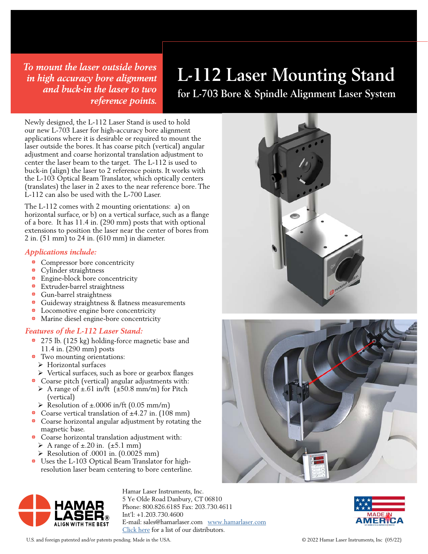*To mount the laser outside bores in high accuracy bore alignment and buck-in the laser to two reference points.*

# **L-112 Laser Mounting Stand**

**for L-703 Bore & Spindle Alignment Laser System**

Newly designed, the L-112 Laser Stand is used to hold our new L-703 Laser for high-accuracy bore alignment applications where it is desirable or required to mount the laser outside the bores. It has coarse pitch (vertical) angular adjustment and coarse horizontal translation adjustment to center the laser beam to the target. The L-112 is used to buck-in (align) the laser to 2 reference points. It works with the L-103 Optical Beam Translator, which optically centers (translates) the laser in 2 axes to the near reference bore. The L-112 can also be used with the L-700 Laser.

The L-112 comes with 2 mounting orientations: a) on horizontal surface, or b) on a vertical surface, such as a flange of a bore. It has 11.4 in. (290 mm) posts that with optional extensions to position the laser near the center of bores from 2 in. (51 mm) to 24 in. (610 mm) in diameter.

### *Applications include:*

- Compressor bore concentricity
- Cylinder straightness
- Engine-block bore concentricity
- 1 Extruder-barrel straightness
- **•** Gun-barrel straightness
- 1 Guideway straightness & flatness measurements
- **1** Locomotive engine bore concentricity
- 1 Marine diesel engine-bore concentricity

### *Features of the L-112 Laser Stand:*

- 275 lb. (125 kg) holding-force magnetic base and 11.4 in. (290 mm) posts
- Two mounting orientations:
- Ø Horizontal surfaces
- Ø Vertical surfaces, such as bore or gearbox flanges
- 1 Coarse pitch (vertical) angular adjustments with: A range of  $\pm$ .61 in/ft ( $\pm$ 50.8 mm/m) for Pitch (vertical)
- $\triangleright$  Resolution of  $\pm$ .0006 in/ft (0.05 mm/m)
- Coarse vertical translation of ±4.27 in. (108 mm)
- Coarse horizontal angular adjustment by rotating the magnetic base.
- Coarse horizontal translation adjustment with: A range of  $\pm$ .20 in. ( $\pm$ 5.1 mm)
	- $\triangleright$  Resolution of .0001 in. (0.0025 mm)
- 1 Uses the L-103 Optical Beam Translator for highresolution laser beam centering to bore centerline.



Hamar Laser Instruments, Inc. 5 Ye Olde Road Danbury, CT 06810 Phone: 800.826.6185 Fax: 203.730.4611 Int'l: +1.203.730.4600 E-mail: [sales@hamarlaser.com](mailto:sales%40hamarlaser.com?subject=) [www.hamarlaser.com](https://www.hamarlaser.com) [Click here](https://www.hamarlaser.com/geometry-alignment-products/) for a list of our distributors.